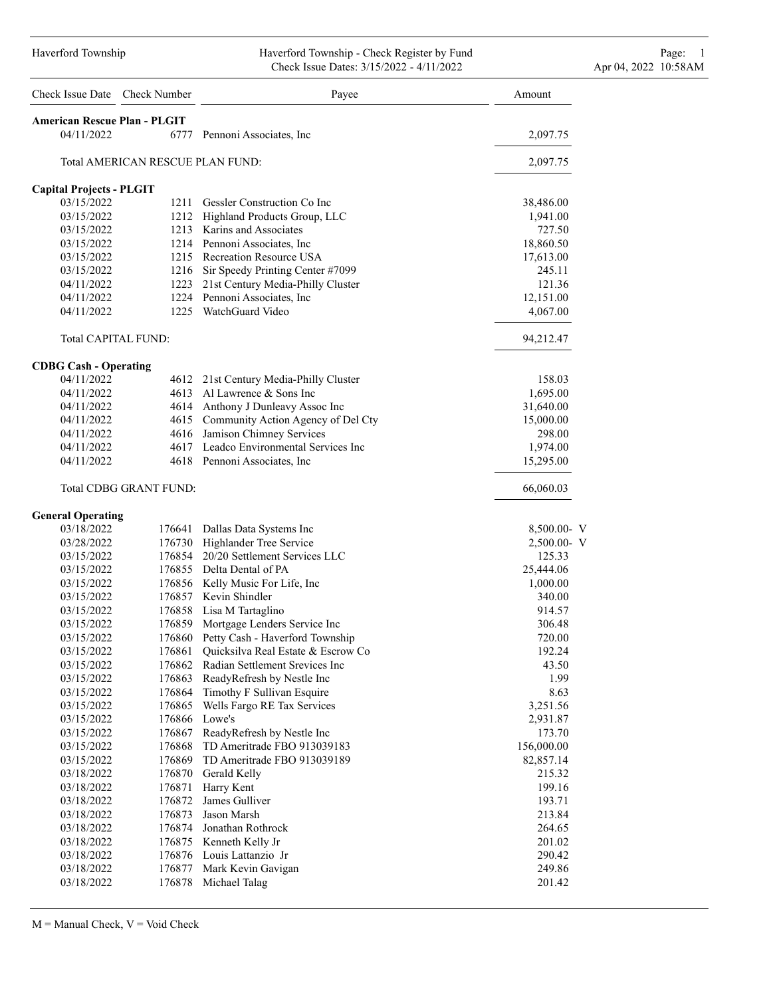#### Haverford Township Haverford Township - Check Register by Fund Page: 1 Check Issue Dates: 3/15/2022 - 4/11/2022 Apr 04, 2022 10:58AM

| Check Issue Date Check Number       |                                  | Payee                                   | Amount         |
|-------------------------------------|----------------------------------|-----------------------------------------|----------------|
| <b>American Rescue Plan - PLGIT</b> |                                  |                                         |                |
| 04/11/2022                          |                                  | 6777 Pennoni Associates, Inc            | 2,097.75       |
|                                     | Total AMERICAN RESCUE PLAN FUND: |                                         | 2,097.75       |
| <b>Capital Projects - PLGIT</b>     |                                  |                                         |                |
| 03/15/2022                          |                                  | 1211 Gessler Construction Co Inc        | 38,486.00      |
| 03/15/2022                          |                                  | 1212 Highland Products Group, LLC       | 1,941.00       |
| 03/15/2022                          |                                  | 1213 Karins and Associates              | 727.50         |
| 03/15/2022                          |                                  | 1214 Pennoni Associates, Inc            | 18,860.50      |
| 03/15/2022                          |                                  | 1215 Recreation Resource USA            | 17,613.00      |
| 03/15/2022                          |                                  | 1216 Sir Speedy Printing Center #7099   | 245.11         |
| 04/11/2022                          |                                  | 1223 21st Century Media-Philly Cluster  | 121.36         |
| 04/11/2022                          |                                  | 1224 Pennoni Associates, Inc.           | 12,151.00      |
| 04/11/2022                          |                                  | 1225 WatchGuard Video                   | 4,067.00       |
| <b>Total CAPITAL FUND:</b>          |                                  |                                         | 94,212.47      |
| <b>CDBG Cash - Operating</b>        |                                  |                                         |                |
| 04/11/2022                          |                                  | 4612 21st Century Media-Philly Cluster  | 158.03         |
| 04/11/2022                          |                                  | 4613 Al Lawrence & Sons Inc             | 1,695.00       |
| 04/11/2022                          |                                  | 4614 Anthony J Dunleavy Assoc Inc       | 31,640.00      |
| 04/11/2022                          |                                  | 4615 Community Action Agency of Del Cty | 15,000.00      |
| 04/11/2022                          |                                  | 4616 Jamison Chimney Services           | 298.00         |
| 04/11/2022                          |                                  | 4617 Leadco Environmental Services Inc  | 1,974.00       |
| 04/11/2022                          |                                  | 4618 Pennoni Associates, Inc.           | 15,295.00      |
|                                     | Total CDBG GRANT FUND:           |                                         | 66,060.03      |
| <b>General Operating</b>            |                                  |                                         |                |
| 03/18/2022                          |                                  | 176641 Dallas Data Systems Inc          | 8,500.00- V    |
| 03/28/2022                          |                                  | 176730 Highlander Tree Service          | $2,500.00 - V$ |
| 03/15/2022                          |                                  | 176854 20/20 Settlement Services LLC    | 125.33         |
| 03/15/2022                          |                                  | 176855 Delta Dental of PA               | 25,444.06      |
| 03/15/2022                          |                                  | 176856 Kelly Music For Life, Inc        | 1,000.00       |
| 03/15/2022                          |                                  | 176857 Kevin Shindler                   | 340.00         |
| 03/15/2022                          |                                  | 176858 Lisa M Tartaglino                | 914.57         |
| 03/15/2022                          |                                  | 176859 Mortgage Lenders Service Inc     | 306.48         |
| 03/15/2022                          |                                  | 176860 Petty Cash - Haverford Township  | 720.00         |
| 03/15/2022                          | 176861                           | Quicksilva Real Estate & Escrow Co      | 192.24         |
| 03/15/2022                          | 176862                           | Radian Settlement Srevices Inc          | 43.50          |
| 03/15/2022                          | 176863                           | ReadyRefresh by Nestle Inc              | 1.99           |
| 03/15/2022                          | 176864                           | Timothy F Sullivan Esquire              | 8.63           |
| 03/15/2022                          | 176865                           | Wells Fargo RE Tax Services             | 3,251.56       |
| 03/15/2022                          | 176866 Lowe's                    |                                         | 2,931.87       |
| 03/15/2022                          | 176867                           | ReadyRefresh by Nestle Inc              | 173.70         |
| 03/15/2022                          | 176868                           | TD Ameritrade FBO 913039183             | 156,000.00     |
| 03/15/2022                          | 176869                           | TD Ameritrade FBO 913039189             | 82,857.14      |
| 03/18/2022                          | 176870                           | Gerald Kelly                            | 215.32         |
| 03/18/2022                          | 176871                           | Harry Kent                              | 199.16         |
| 03/18/2022                          | 176872                           | James Gulliver                          | 193.71         |
| 03/18/2022                          | 176873                           | Jason Marsh                             | 213.84         |
| 03/18/2022                          | 176874                           | Jonathan Rothrock                       | 264.65         |
| 03/18/2022                          |                                  | 176875 Kenneth Kelly Jr                 | 201.02         |
| 03/18/2022                          |                                  | 176876 Louis Lattanzio Jr               | 290.42         |
| 03/18/2022                          | 176877                           | Mark Kevin Gavigan                      | 249.86         |
| 03/18/2022                          | 176878                           | Michael Talag                           | 201.42         |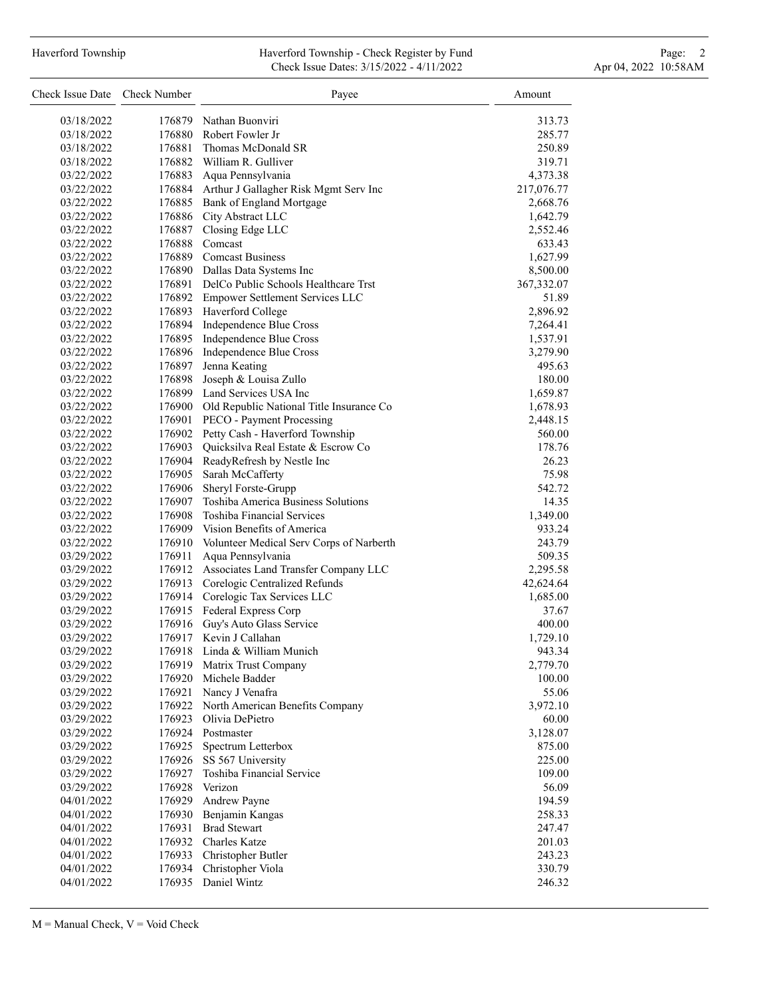# Haverford Township **Haverford Township - Check Register by Fund** Page: 2 Check Issue Dates: 3/15/2022 - 4/11/2022 Apr 04, 2022 10:58AM

| Check Issue Date Check Number |        | Payee                                           | Amount               |
|-------------------------------|--------|-------------------------------------------------|----------------------|
| 03/18/2022                    | 176879 | Nathan Buonviri                                 | 313.73               |
| 03/18/2022                    |        | 176880 Robert Fowler Jr                         | 285.77               |
| 03/18/2022                    | 176881 | Thomas McDonald SR                              | 250.89               |
| 03/18/2022                    |        | 176882 William R. Gulliver                      | 319.71               |
| 03/22/2022                    | 176883 | Aqua Pennsylvania                               | 4,373.38             |
| 03/22/2022                    |        | 176884 Arthur J Gallagher Risk Mgmt Serv Inc    | 217,076.77           |
| 03/22/2022                    |        | 176885 Bank of England Mortgage                 | 2,668.76             |
| 03/22/2022                    | 176886 | City Abstract LLC                               | 1,642.79             |
| 03/22/2022                    | 176887 | Closing Edge LLC                                | 2,552.46             |
| 03/22/2022                    | 176888 | Comcast                                         | 633.43               |
| 03/22/2022                    |        | 176889 Comcast Business                         | 1,627.99             |
| 03/22/2022                    |        | 176890 Dallas Data Systems Inc                  | 8,500.00             |
| 03/22/2022                    |        | 176891 DelCo Public Schools Healthcare Trst     | 367, 332.07          |
| 03/22/2022                    | 176892 | Empower Settlement Services LLC                 | 51.89                |
| 03/22/2022                    | 176893 | Haverford College                               | 2,896.92             |
| 03/22/2022                    | 176894 | Independence Blue Cross                         |                      |
| 03/22/2022                    |        | 176895 Independence Blue Cross                  | 7,264.41<br>1,537.91 |
| 03/22/2022                    | 176896 | Independence Blue Cross                         | 3,279.90             |
| 03/22/2022                    | 176897 | Jenna Keating                                   | 495.63               |
|                               |        | Joseph & Louisa Zullo                           |                      |
| 03/22/2022                    | 176898 | 176899 Land Services USA Inc                    | 180.00               |
| 03/22/2022                    |        |                                                 | 1,659.87             |
| 03/22/2022                    |        | 176900 Old Republic National Title Insurance Co | 1,678.93             |
| 03/22/2022                    | 176901 | PECO - Payment Processing                       | 2,448.15             |
| 03/22/2022                    |        | 176902 Petty Cash - Haverford Township          | 560.00               |
| 03/22/2022                    | 176903 | Quicksilva Real Estate & Escrow Co              | 178.76               |
| 03/22/2022                    |        | 176904 ReadyRefresh by Nestle Inc               | 26.23                |
| 03/22/2022                    |        | 176905 Sarah McCafferty                         | 75.98                |
| 03/22/2022                    | 176906 | Sheryl Forste-Grupp                             | 542.72               |
| 03/22/2022                    | 176907 | Toshiba America Business Solutions              | 14.35                |
| 03/22/2022                    | 176908 | <b>Toshiba Financial Services</b>               | 1,349.00             |
| 03/22/2022                    |        | 176909 Vision Benefits of America               | 933.24               |
| 03/22/2022                    |        | 176910 Volunteer Medical Serv Corps of Narberth | 243.79               |
| 03/29/2022                    | 176911 | Aqua Pennsylvania                               | 509.35               |
| 03/29/2022                    | 176912 | Associates Land Transfer Company LLC            | 2,295.58             |
| 03/29/2022                    | 176913 | Corelogic Centralized Refunds                   | 42,624.64            |
| 03/29/2022                    | 176914 | Corelogic Tax Services LLC                      | 1,685.00             |
| 03/29/2022                    |        | 176915 Federal Express Corp                     | 37.67                |
| 03/29/2022                    | 176916 | Guy's Auto Glass Service                        | 400.00               |
| 03/29/2022                    | 176917 | Kevin J Callahan                                | 1,729.10             |
| 03/29/2022                    | 176918 | Linda & William Munich                          | 943.34               |
| 03/29/2022                    | 176919 | Matrix Trust Company                            | 2,779.70             |
| 03/29/2022                    | 176920 | Michele Badder                                  | 100.00               |
| 03/29/2022                    | 176921 | Nancy J Venafra                                 | 55.06                |
| 03/29/2022                    | 176922 | North American Benefits Company                 | 3,972.10             |
| 03/29/2022                    | 176923 | Olivia DePietro                                 | 60.00                |
| 03/29/2022                    | 176924 | Postmaster                                      | 3,128.07             |
| 03/29/2022                    | 176925 | Spectrum Letterbox                              | 875.00               |
| 03/29/2022                    | 176926 | SS 567 University                               | 225.00               |
| 03/29/2022                    | 176927 | Toshiba Financial Service                       | 109.00               |
| 03/29/2022                    | 176928 | Verizon                                         | 56.09                |
| 04/01/2022                    | 176929 | Andrew Payne                                    | 194.59               |
| 04/01/2022                    | 176930 | Benjamin Kangas                                 | 258.33               |
| 04/01/2022                    | 176931 | <b>Brad Stewart</b>                             | 247.47               |
| 04/01/2022                    | 176932 | <b>Charles Katze</b>                            | 201.03               |
| 04/01/2022                    | 176933 | Christopher Butler                              | 243.23               |
| 04/01/2022                    | 176934 | Christopher Viola                               | 330.79               |
| 04/01/2022                    | 176935 | Daniel Wintz                                    | 246.32               |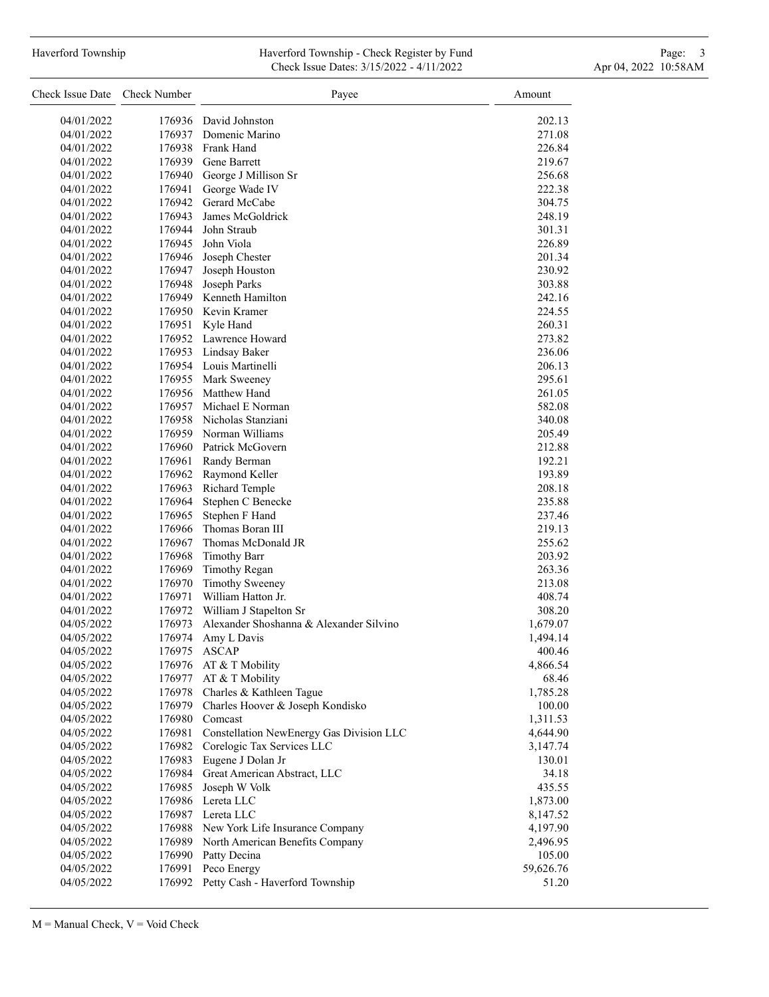# Haverford Township **Haverford Township - Check Register by Fund** Page: 3 and Page: 3 and Page: 3 and Page: 3 and Page: 3 and Page: 3 and Page: 3 and Page: 3 and Page: 3 and Page: 3 and Page: 3 and Page: 3 and Page: 3 and P Check Issue Dates: 3/15/2022 - 4/11/2022 Apr 04, 2022 10:58AM

| Check Issue Date | Check Number | Payee                                    | Amount           |
|------------------|--------------|------------------------------------------|------------------|
| 04/01/2022       |              | 176936 David Johnston                    | 202.13           |
| 04/01/2022       |              | 176937 Domenic Marino                    | 271.08           |
| 04/01/2022       | 176938       | Frank Hand                               | 226.84           |
| 04/01/2022       |              | 176939 Gene Barrett                      | 219.67           |
| 04/01/2022       |              | 176940 George J Millison Sr              | 256.68           |
| 04/01/2022       | 176941       | George Wade IV                           | 222.38           |
| 04/01/2022       |              | 176942 Gerard McCabe                     | 304.75           |
| 04/01/2022       | 176943       | James McGoldrick                         | 248.19           |
| 04/01/2022       | 176944       | John Straub                              | 301.31           |
| 04/01/2022       | 176945       | John Viola                               | 226.89           |
| 04/01/2022       | 176946       | Joseph Chester                           | 201.34           |
| 04/01/2022       | 176947       | Joseph Houston                           | 230.92           |
| 04/01/2022       | 176948       | Joseph Parks                             | 303.88           |
| 04/01/2022       |              | 176949 Kenneth Hamilton                  | 242.16           |
| 04/01/2022       |              | 176950 Kevin Kramer                      | 224.55           |
| 04/01/2022       | 176951       | Kyle Hand                                | 260.31           |
| 04/01/2022       |              | 176952 Lawrence Howard                   | 273.82           |
| 04/01/2022       |              | 176953 Lindsay Baker                     | 236.06           |
| 04/01/2022       |              | 176954 Louis Martinelli                  | 206.13           |
| 04/01/2022       |              | 176955 Mark Sweeney                      | 295.61           |
| 04/01/2022       |              | 176956 Matthew Hand                      | 261.05           |
| 04/01/2022       |              | 176957 Michael E Norman                  | 582.08           |
| 04/01/2022       |              | 176958 Nicholas Stanziani                |                  |
| 04/01/2022       |              | 176959 Norman Williams                   | 340.08           |
| 04/01/2022       |              | 176960 Patrick McGovern                  | 205.49<br>212.88 |
|                  |              |                                          | 192.21           |
| 04/01/2022       |              | 176961 Randy Berman                      |                  |
| 04/01/2022       |              | 176962 Raymond Keller                    | 193.89           |
| 04/01/2022       |              | 176963 Richard Temple                    | 208.18           |
| 04/01/2022       | 176964       | Stephen C Benecke                        | 235.88           |
| 04/01/2022       | 176965       | Stephen F Hand                           | 237.46           |
| 04/01/2022       | 176966       | Thomas Boran III                         | 219.13           |
| 04/01/2022       | 176967       | Thomas McDonald JR                       | 255.62           |
| 04/01/2022       | 176968       | <b>Timothy Barr</b>                      | 203.92           |
| 04/01/2022       | 176969       | Timothy Regan                            | 263.36           |
| 04/01/2022       | 176970       | <b>Timothy Sweeney</b>                   | 213.08           |
| 04/01/2022       | 176971       | William Hatton Jr.                       | 408.74           |
| 04/01/2022       | 176972       | William J Stapelton Sr                   | 308.20           |
| 04/05/2022       | 176973       | Alexander Shoshanna & Alexander Silvino  | 1,679.07         |
| 04/05/2022       | 176974       | Amy L Davis                              | 1,494.14         |
| 04/05/2022       | 176975       | <b>ASCAP</b>                             | 400.46           |
| 04/05/2022       | 176976       | AT & T Mobility                          | 4,866.54         |
| 04/05/2022       | 176977       | AT & T Mobility                          | 68.46            |
| 04/05/2022       |              | 176978 Charles & Kathleen Tague          | 1,785.28         |
| 04/05/2022       | 176979       | Charles Hoover & Joseph Kondisko         | 100.00           |
| 04/05/2022       | 176980       | Comcast                                  | 1,311.53         |
| 04/05/2022       | 176981       | Constellation NewEnergy Gas Division LLC | 4,644.90         |
| 04/05/2022       |              | 176982 Corelogic Tax Services LLC        | 3,147.74         |
| 04/05/2022       | 176983       | Eugene J Dolan Jr                        | 130.01           |
| 04/05/2022       |              | 176984 Great American Abstract, LLC      | 34.18            |
| 04/05/2022       | 176985       | Joseph W Volk                            | 435.55           |
| 04/05/2022       | 176986       | Lereta LLC                               | 1,873.00         |
| 04/05/2022       |              | 176987 Lereta LLC                        | 8,147.52         |
| 04/05/2022       |              | 176988 New York Life Insurance Company   | 4,197.90         |
| 04/05/2022       |              | 176989 North American Benefits Company   | 2,496.95         |
| 04/05/2022       | 176990       | Patty Decina                             | 105.00           |
| 04/05/2022       | 176991       | Peco Energy                              | 59,626.76        |
| 04/05/2022       | 176992       | Petty Cash - Haverford Township          | 51.20            |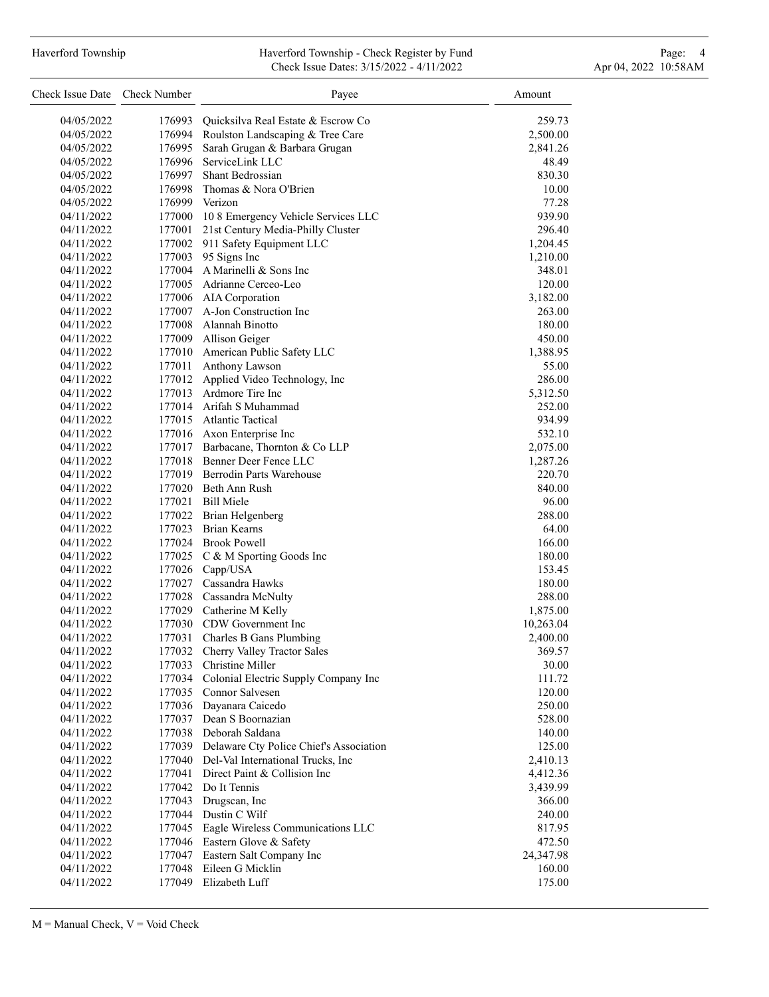#### Haverford Township **Haverford Township - Check Register by Fund** Page: 4 and Page: 4 Check Issue Dates: 3/15/2022 - 4/11/2022 Apr 04, 2022 10:58AM

| Check Issue Date Check Number |        | Payee                                                           | Amount    |
|-------------------------------|--------|-----------------------------------------------------------------|-----------|
| 04/05/2022                    | 176993 | Quicksilva Real Estate & Escrow Co                              | 259.73    |
| 04/05/2022                    | 176994 | Roulston Landscaping & Tree Care                                | 2,500.00  |
| 04/05/2022                    | 176995 | Sarah Grugan & Barbara Grugan                                   | 2,841.26  |
| 04/05/2022                    | 176996 | ServiceLink LLC                                                 | 48.49     |
| 04/05/2022                    | 176997 | Shant Bedrossian                                                | 830.30    |
| 04/05/2022                    | 176998 | Thomas & Nora O'Brien                                           | 10.00     |
| 04/05/2022                    | 176999 | Verizon                                                         | 77.28     |
| 04/11/2022                    | 177000 | 10 8 Emergency Vehicle Services LLC                             | 939.90    |
| 04/11/2022                    | 177001 | 21st Century Media-Philly Cluster                               | 296.40    |
| 04/11/2022                    |        | 177002 911 Safety Equipment LLC                                 | 1,204.45  |
| 04/11/2022                    |        | 177003 95 Signs Inc                                             | 1,210.00  |
| 04/11/2022                    |        | 177004 A Marinelli & Sons Inc                                   | 348.01    |
| 04/11/2022                    |        | 177005 Adrianne Cerceo-Leo                                      | 120.00    |
| 04/11/2022                    |        | 177006 AIA Corporation                                          | 3,182.00  |
| 04/11/2022                    |        | 177007 A-Jon Construction Inc                                   | 263.00    |
| 04/11/2022                    |        | 177008 Alannah Binotto                                          | 180.00    |
| 04/11/2022                    |        | 177009 Allison Geiger                                           | 450.00    |
| 04/11/2022                    |        | 177010 American Public Safety LLC                               | 1,388.95  |
| 04/11/2022                    | 177011 | Anthony Lawson                                                  | 55.00     |
| 04/11/2022                    |        | 177012 Applied Video Technology, Inc                            | 286.00    |
| 04/11/2022                    |        | 177013 Ardmore Tire Inc                                         | 5,312.50  |
| 04/11/2022                    |        | 177014 Arifah S Muhammad                                        | 252.00    |
| 04/11/2022                    |        | 177015 Atlantic Tactical                                        | 934.99    |
|                               |        |                                                                 |           |
| 04/11/2022                    |        | 177016 Axon Enterprise Inc                                      | 532.10    |
| 04/11/2022                    |        | 177017 Barbacane, Thornton & Co LLP                             | 2,075.00  |
| 04/11/2022                    |        | 177018 Benner Deer Fence LLC<br>177019 Berrodin Parts Warehouse | 1,287.26  |
| 04/11/2022                    |        |                                                                 | 220.70    |
| 04/11/2022                    |        | 177020 Beth Ann Rush                                            | 840.00    |
| 04/11/2022                    | 177021 | Bill Miele                                                      | 96.00     |
| 04/11/2022                    |        | 177022 Brian Helgenberg                                         | 288.00    |
| 04/11/2022                    | 177023 | <b>Brian Kearns</b>                                             | 64.00     |
| 04/11/2022                    |        | 177024 Brook Powell                                             | 166.00    |
| 04/11/2022                    |        | 177025 C & M Sporting Goods Inc                                 | 180.00    |
| 04/11/2022                    |        | 177026 Capp/USA                                                 | 153.45    |
| 04/11/2022                    |        | 177027 Cassandra Hawks                                          | 180.00    |
| 04/11/2022                    |        | 177028 Cassandra McNulty                                        | 288.00    |
| 04/11/2022                    |        | 177029 Catherine M Kelly                                        | 1,875.00  |
| 04/11/2022                    |        | 177030 CDW Government Inc                                       | 10,263.04 |
| 04/11/2022                    |        | 177031 Charles B Gans Plumbing                                  | 2,400.00  |
| 04/11/2022                    | 177032 | Cherry Valley Tractor Sales                                     | 369.57    |
| 04/11/2022                    |        | 177033 Christine Miller                                         | 30.00     |
| 04/11/2022                    |        | 177034 Colonial Electric Supply Company Inc                     | 111.72    |
| 04/11/2022                    |        | 177035 Connor Salvesen                                          | 120.00    |
| 04/11/2022                    |        | 177036 Dayanara Caicedo                                         | 250.00    |
| 04/11/2022                    |        | 177037 Dean S Boornazian                                        | 528.00    |
| 04/11/2022                    |        | 177038 Deborah Saldana                                          | 140.00    |
| 04/11/2022                    |        | 177039 Delaware Cty Police Chief's Association                  | 125.00    |
| 04/11/2022                    |        | 177040 Del-Val International Trucks, Inc                        | 2,410.13  |
| 04/11/2022                    | 177041 | Direct Paint & Collision Inc.                                   | 4,412.36  |
| 04/11/2022                    |        | 177042 Do It Tennis                                             | 3,439.99  |
| 04/11/2022                    | 177043 | Drugscan, Inc                                                   | 366.00    |
| 04/11/2022                    |        | 177044 Dustin C Wilf                                            | 240.00    |
| 04/11/2022                    |        | 177045 Eagle Wireless Communications LLC                        | 817.95    |
| 04/11/2022                    |        | 177046 Eastern Glove & Safety                                   | 472.50    |
| 04/11/2022                    | 177047 | Eastern Salt Company Inc                                        | 24,347.98 |
| 04/11/2022                    | 177048 | Eileen G Micklin                                                | 160.00    |
| 04/11/2022                    |        | 177049 Elizabeth Luff                                           | 175.00    |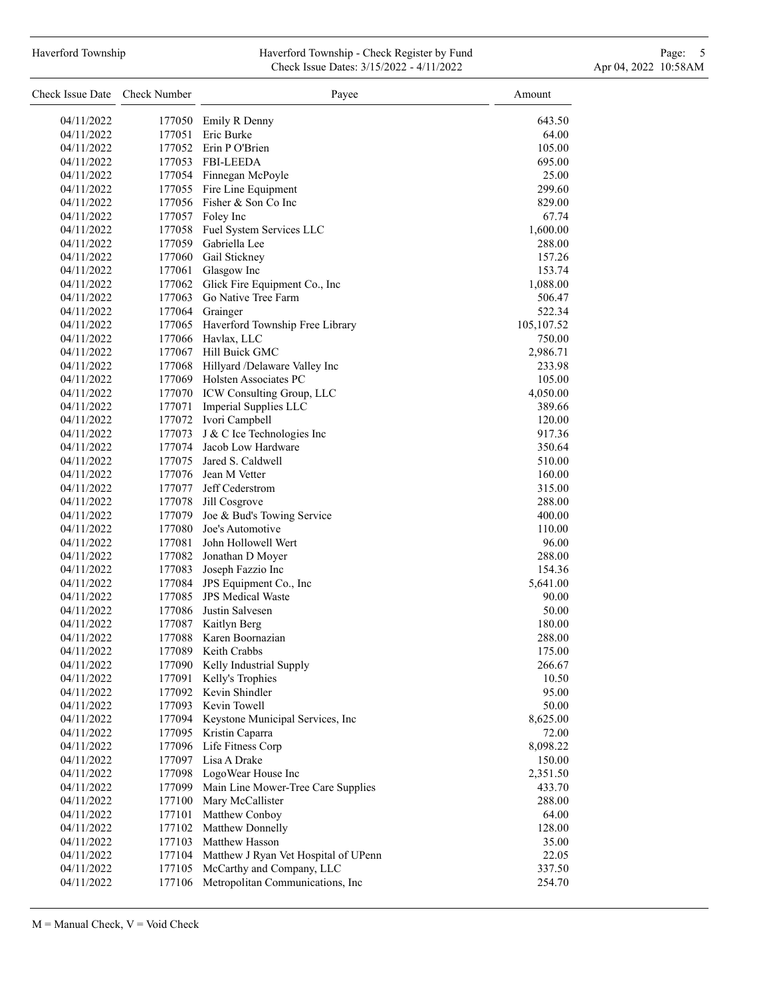### Haverford Township **Haverford Township - Check Register by Fund** Page: 5 and Page: 5 and Page: 5 and Page: 5 and Page: 5 and Page: 5 and Page: 5 and Page: 5 and Page: 5 and Page: 5 and Page: 5 and Page: 5 and Page: 5 and P Check Issue Dates: 3/15/2022 - 4/11/2022 Apr 04, 2022 10:58AM

| Check Issue Date Check Number |        | Payee                                                     | Amount          |
|-------------------------------|--------|-----------------------------------------------------------|-----------------|
| 04/11/2022                    |        | 177050 Emily R Denny                                      | 643.50          |
| 04/11/2022                    | 177051 | Eric Burke                                                | 64.00           |
| 04/11/2022                    |        | 177052 Erin P O'Brien                                     | 105.00          |
| 04/11/2022                    |        | 177053 FBI-LEEDA                                          | 695.00          |
| 04/11/2022                    |        | 177054 Finnegan McPoyle                                   | 25.00           |
| 04/11/2022                    |        | 177055 Fire Line Equipment                                | 299.60          |
| 04/11/2022                    |        | 177056 Fisher & Son Co Inc                                | 829.00          |
| 04/11/2022                    |        | 177057 Foley Inc                                          | 67.74           |
| 04/11/2022                    |        | 177058 Fuel System Services LLC                           | 1,600.00        |
| 04/11/2022                    | 177059 | Gabriella Lee                                             | 288.00          |
| 04/11/2022                    |        | 177060 Gail Stickney                                      | 157.26          |
| 04/11/2022                    |        | 177061 Glasgow Inc                                        | 153.74          |
| 04/11/2022                    |        | 177062 Glick Fire Equipment Co., Inc                      | 1,088.00        |
| 04/11/2022                    |        | 177063 Go Native Tree Farm                                | 506.47          |
| 04/11/2022                    |        | 177064 Grainger                                           | 522.34          |
| 04/11/2022                    |        | 177065 Haverford Township Free Library                    | 105, 107.52     |
| 04/11/2022                    |        | 177066 Havlax, LLC                                        | 750.00          |
| 04/11/2022                    |        | 177067 Hill Buick GMC                                     | 2,986.71        |
| 04/11/2022                    |        | 177068 Hillyard /Delaware Valley Inc                      | 233.98          |
| 04/11/2022                    |        | 177069 Holsten Associates PC                              | 105.00          |
| 04/11/2022                    |        | 177070 ICW Consulting Group, LLC                          | 4,050.00        |
| 04/11/2022                    |        | 177071 Imperial Supplies LLC                              | 389.66          |
| 04/11/2022                    |        | 177072 Ivori Campbell                                     | 120.00          |
| 04/11/2022                    |        | 177073 J & C Ice Technologies Inc                         | 917.36          |
| 04/11/2022                    |        | 177074 Jacob Low Hardware                                 | 350.64          |
| 04/11/2022                    | 177075 | Jared S. Caldwell                                         | 510.00          |
| 04/11/2022                    |        | 177076 Jean M Vetter                                      | 160.00          |
| 04/11/2022                    |        | 177077 Jeff Cederstrom                                    | 315.00          |
| 04/11/2022                    | 177078 | Jill Cosgrove                                             | 288.00          |
| 04/11/2022                    | 177079 | Joe & Bud's Towing Service                                | 400.00          |
| 04/11/2022                    | 177080 | Joe's Automotive                                          |                 |
| 04/11/2022                    | 177081 | John Hollowell Wert                                       | 110.00          |
| 04/11/2022                    |        |                                                           | 96.00<br>288.00 |
| 04/11/2022                    |        | 177082 Jonathan D Moyer<br>177083 Joseph Fazzio Inc       | 154.36          |
|                               |        |                                                           |                 |
| 04/11/2022                    | 177085 | 177084 JPS Equipment Co., Inc<br><b>JPS</b> Medical Waste | 5,641.00        |
| 04/11/2022                    |        |                                                           | 90.00           |
| 04/11/2022                    | 177086 | Justin Salvesen                                           | 50.00           |
| 04/11/2022                    | 177087 | Kaitlyn Berg                                              | 180.00          |
| 04/11/2022                    | 177088 | Karen Boornazian                                          | 288.00          |
| 04/11/2022                    | 177089 | Keith Crabbs                                              | 175.00          |
| 04/11/2022                    | 177090 | Kelly Industrial Supply                                   | 266.67          |
| 04/11/2022                    | 177091 | Kelly's Trophies                                          | 10.50           |
| 04/11/2022                    |        | 177092 Kevin Shindler                                     | 95.00           |
| 04/11/2022                    |        | 177093 Kevin Towell                                       | 50.00           |
| 04/11/2022                    | 177094 | Keystone Municipal Services, Inc                          | 8,625.00        |
| 04/11/2022                    |        | 177095 Kristin Caparra                                    | 72.00           |
| 04/11/2022                    |        | 177096 Life Fitness Corp                                  | 8,098.22        |
| 04/11/2022                    |        | 177097 Lisa A Drake                                       | 150.00          |
| 04/11/2022                    |        | 177098 LogoWear House Inc                                 | 2,351.50        |
| 04/11/2022                    | 177099 | Main Line Mower-Tree Care Supplies                        | 433.70          |
| 04/11/2022                    | 177100 | Mary McCallister                                          | 288.00          |
| 04/11/2022                    | 177101 | Matthew Conboy                                            | 64.00           |
| 04/11/2022                    |        | 177102 Matthew Donnelly                                   | 128.00          |
| 04/11/2022                    | 177103 | Matthew Hasson                                            | 35.00           |
| 04/11/2022                    | 177104 | Matthew J Ryan Vet Hospital of UPenn                      | 22.05           |
| 04/11/2022                    | 177105 | McCarthy and Company, LLC                                 | 337.50          |
| 04/11/2022                    | 177106 | Metropolitan Communications, Inc                          | 254.70          |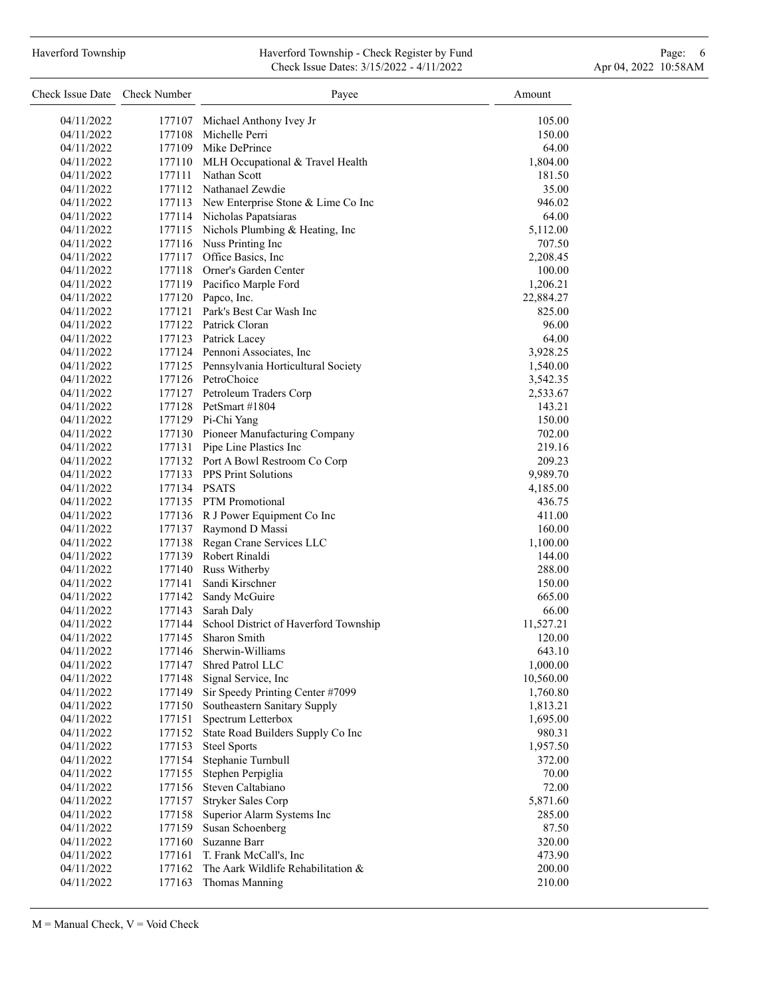| Haverford Township |  |
|--------------------|--|
|                    |  |

#### Haverford Township **Haverford Township - Check Register by Fund** Page: 6 Australian Page: 6 Australian Page: 6 Au Check Issue Dates: 3/15/2022 - 4/11/2022 Apr 04, 2022 10:58AM

| Check Issue Date         | Check Number | Payee                                                             | Amount          |
|--------------------------|--------------|-------------------------------------------------------------------|-----------------|
| 04/11/2022               |              | 177107 Michael Anthony Ivey Jr                                    | 105.00          |
| 04/11/2022               |              | 177108 Michelle Perri                                             | 150.00          |
| 04/11/2022               |              | 177109 Mike DePrince                                              | 64.00           |
| 04/11/2022               |              | 177110 MLH Occupational & Travel Health                           | 1,804.00        |
| 04/11/2022               |              | 177111 Nathan Scott                                               | 181.50          |
| 04/11/2022               |              | 177112 Nathanael Zewdie                                           | 35.00           |
| 04/11/2022               |              | 177113 New Enterprise Stone & Lime Co Inc                         | 946.02          |
| 04/11/2022               |              | 177114 Nicholas Papatsiaras                                       | 64.00           |
| 04/11/2022               |              | 177115 Nichols Plumbing & Heating, Inc                            | 5,112.00        |
| 04/11/2022               |              | 177116 Nuss Printing Inc                                          | 707.50          |
| 04/11/2022               |              | 177117 Office Basics, Inc.                                        | 2,208.45        |
| 04/11/2022               |              | 177118 Orner's Garden Center                                      | 100.00          |
| 04/11/2022               |              | 177119 Pacifico Marple Ford                                       | 1,206.21        |
| 04/11/2022               |              | 177120 Papco, Inc.                                                | 22,884.27       |
| 04/11/2022               |              | 177121 Park's Best Car Wash Inc                                   | 825.00          |
| 04/11/2022               |              | 177122 Patrick Cloran                                             | 96.00           |
| 04/11/2022               |              | 177123 Patrick Lacey                                              | 64.00           |
| 04/11/2022               |              | 177124 Pennoni Associates, Inc                                    | 3,928.25        |
| 04/11/2022               |              | 177125 Pennsylvania Horticultural Society                         | 1,540.00        |
| 04/11/2022               |              | 177126 PetroChoice                                                | 3,542.35        |
| 04/11/2022               |              | 177127 Petroleum Traders Corp                                     | 2,533.67        |
| 04/11/2022               |              | 177128 PetSmart #1804                                             | 143.21          |
| 04/11/2022               |              | 177129 Pi-Chi Yang                                                | 150.00          |
| 04/11/2022               |              | 177130 Pioneer Manufacturing Company                              | 702.00          |
| 04/11/2022               |              | 177131 Pipe Line Plastics Inc                                     | 219.16          |
| 04/11/2022               |              | 177132 Port A Bowl Restroom Co Corp                               | 209.23          |
| 04/11/2022               |              | 177133 PPS Print Solutions                                        | 9,989.70        |
| 04/11/2022               | 177134 PSATS |                                                                   | 4,185.00        |
| 04/11/2022               |              | 177135 PTM Promotional                                            | 436.75          |
| 04/11/2022               |              | 177136 R J Power Equipment Co Inc                                 | 411.00          |
| 04/11/2022               |              | 177137 Raymond D Massi                                            | 160.00          |
| 04/11/2022               |              | 177138 Regan Crane Services LLC                                   | 1,100.00        |
| 04/11/2022               |              | 177139 Robert Rinaldi                                             | 144.00          |
| 04/11/2022               |              | 177140 Russ Witherby                                              | 288.00          |
| 04/11/2022               |              | 177141 Sandi Kirschner                                            | 150.00          |
| 04/11/2022               |              | 177142 Sandy McGuire                                              | 665.00<br>66.00 |
| 04/11/2022<br>04/11/2022 |              | 177143 Sarah Daly<br>177144 School District of Haverford Township | 11,527.21       |
| 04/11/2022               | 177145       | Sharon Smith                                                      | 120.00          |
| 04/11/2022               | 177146       | Sherwin-Williams                                                  | 643.10          |
| 04/11/2022               | 177147       | Shred Patrol LLC                                                  | 1,000.00        |
| 04/11/2022               | 177148       | Signal Service, Inc                                               | 10,560.00       |
| 04/11/2022               | 177149       | Sir Speedy Printing Center #7099                                  | 1,760.80        |
| 04/11/2022               | 177150       | Southeastern Sanitary Supply                                      | 1,813.21        |
| 04/11/2022               | 177151       | Spectrum Letterbox                                                | 1,695.00        |
| 04/11/2022               | 177152       | State Road Builders Supply Co Inc                                 | 980.31          |
| 04/11/2022               | 177153       | <b>Steel Sports</b>                                               | 1,957.50        |
| 04/11/2022               | 177154       | Stephanie Turnbull                                                | 372.00          |
| 04/11/2022               | 177155       | Stephen Perpiglia                                                 | 70.00           |
| 04/11/2022               |              | 177156 Steven Caltabiano                                          | 72.00           |
| 04/11/2022               | 177157       | Stryker Sales Corp                                                | 5,871.60        |
| 04/11/2022               | 177158       | Superior Alarm Systems Inc                                        | 285.00          |
| 04/11/2022               | 177159       | Susan Schoenberg                                                  | 87.50           |
| 04/11/2022               | 177160       | Suzanne Barr                                                      | 320.00          |
| 04/11/2022               | 177161       | T. Frank McCall's, Inc                                            | 473.90          |
| 04/11/2022               | 177162       | The Aark Wildlife Rehabilitation &                                | 200.00          |
| 04/11/2022               | 177163       | Thomas Manning                                                    | 210.00          |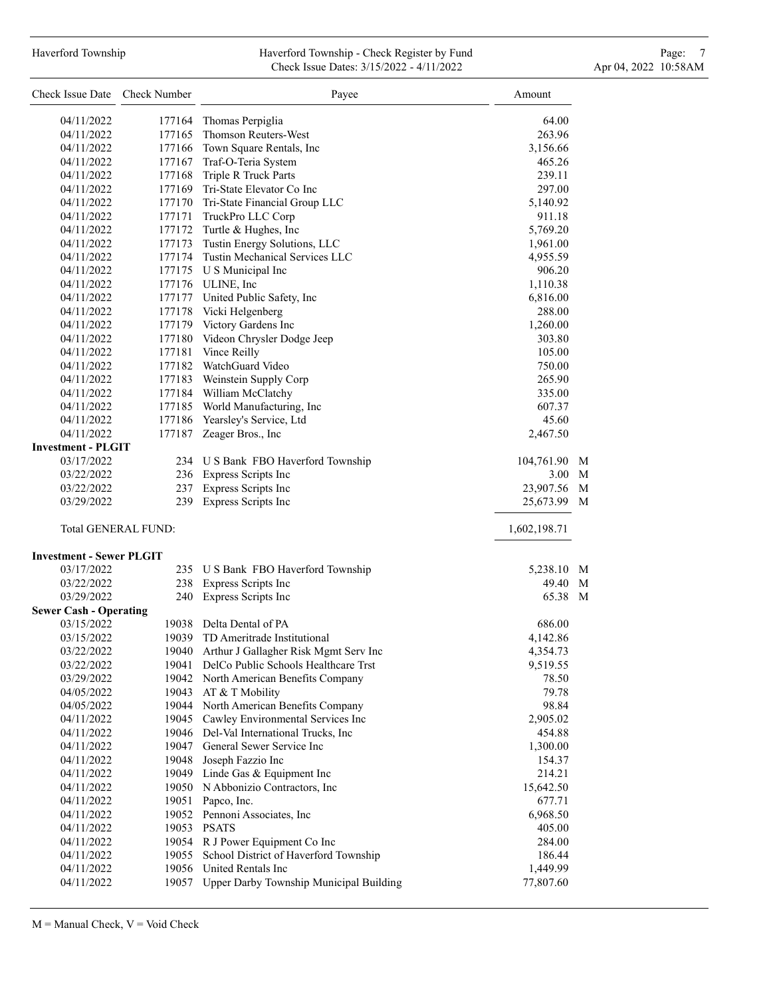# Haverford Township **Haverford Township - Check Register by Fund** Page: 7 Australian Page: 7 Check Issue Dates: 3/15/2022 - 4/11/2022 Apr 04, 2022 10:58AM

| Check Issue Date Check Number   |                            | Payee                                   | Amount       |   |
|---------------------------------|----------------------------|-----------------------------------------|--------------|---|
| 04/11/2022                      | 177164                     | Thomas Perpiglia                        | 64.00        |   |
| 04/11/2022                      | 177165                     | Thomson Reuters-West                    | 263.96       |   |
| 04/11/2022                      | 177166                     | Town Square Rentals, Inc.               | 3,156.66     |   |
| 04/11/2022                      | 177167                     | Traf-O-Teria System                     | 465.26       |   |
| 04/11/2022                      | 177168                     | Triple R Truck Parts                    | 239.11       |   |
| 04/11/2022                      |                            | 177169 Tri-State Elevator Co Inc        | 297.00       |   |
| 04/11/2022                      |                            | 177170 Tri-State Financial Group LLC    | 5,140.92     |   |
| 04/11/2022                      |                            | 177171 TruckPro LLC Corp                | 911.18       |   |
| 04/11/2022                      |                            | 177172 Turtle & Hughes, Inc             | 5,769.20     |   |
| 04/11/2022                      | 177173                     | Tustin Energy Solutions, LLC            | 1,961.00     |   |
| 04/11/2022                      |                            | 177174 Tustin Mechanical Services LLC   | 4,955.59     |   |
| 04/11/2022                      | 177175                     | U S Municipal Inc                       | 906.20       |   |
| 04/11/2022                      | 177176                     | ULINE, Inc                              | 1,110.38     |   |
| 04/11/2022                      |                            | 177177 United Public Safety, Inc        | 6,816.00     |   |
| 04/11/2022                      |                            | 177178 Vicki Helgenberg                 | 288.00       |   |
| 04/11/2022                      |                            | 177179 Victory Gardens Inc              | 1,260.00     |   |
| 04/11/2022                      |                            | 177180 Videon Chrysler Dodge Jeep       | 303.80       |   |
| 04/11/2022                      | 177181                     | Vince Reilly                            | 105.00       |   |
| 04/11/2022                      |                            | 177182 WatchGuard Video                 | 750.00       |   |
| 04/11/2022                      |                            | 177183 Weinstein Supply Corp            | 265.90       |   |
| 04/11/2022                      |                            | 177184 William McClatchy                | 335.00       |   |
| 04/11/2022                      |                            | 177185 World Manufacturing, Inc         | 607.37       |   |
| 04/11/2022                      | 177186                     | Yearsley's Service, Ltd                 | 45.60        |   |
| 04/11/2022                      | 177187                     | Zeager Bros., Inc                       | 2,467.50     |   |
| <b>Investment - PLGIT</b>       |                            |                                         |              |   |
| 03/17/2022                      |                            | 234 U S Bank FBO Haverford Township     | 104,761.90   | M |
| 03/22/2022                      |                            | 236 Express Scripts Inc                 | 3.00         | M |
| 03/22/2022                      | 237                        | Express Scripts Inc                     | 23,907.56    | M |
| 03/29/2022                      | 239                        | Express Scripts Inc                     | 25,673.99    | M |
|                                 | <b>Total GENERAL FUND:</b> |                                         | 1,602,198.71 |   |
| <b>Investment - Sewer PLGIT</b> |                            |                                         |              |   |
| 03/17/2022                      |                            | 235 U S Bank FBO Haverford Township     | 5,238.10     | M |
| 03/22/2022                      |                            | 238 Express Scripts Inc                 | 49.40        | M |
| 03/29/2022                      | 240                        | Express Scripts Inc                     | 65.38        | M |
| <b>Sewer Cash - Operating</b>   |                            |                                         |              |   |
| 03/15/2022                      | 19038                      | Delta Dental of PA                      | 686.00       |   |
| 03/15/2022                      | 19039                      | TD Ameritrade Institutional             | 4,142.86     |   |
| 03/22/2022                      | 19040                      | Arthur J Gallagher Risk Mgmt Serv Inc   | 4,354.73     |   |
| 03/22/2022                      | 19041                      | DelCo Public Schools Healthcare Trst    | 9,519.55     |   |
| 03/29/2022                      |                            | 19042 North American Benefits Company   | 78.50        |   |
| 04/05/2022                      |                            | 19043 AT & T Mobility                   | 79.78        |   |
| 04/05/2022                      |                            | 19044 North American Benefits Company   | 98.84        |   |
| 04/11/2022                      | 19045                      | Cawley Environmental Services Inc       | 2,905.02     |   |
| 04/11/2022                      | 19046                      | Del-Val International Trucks, Inc       | 454.88       |   |
| 04/11/2022                      | 19047                      | General Sewer Service Inc               | 1,300.00     |   |
| 04/11/2022                      | 19048                      | Joseph Fazzio Inc                       | 154.37       |   |
| 04/11/2022                      |                            | 19049 Linde Gas & Equipment Inc         | 214.21       |   |
| 04/11/2022                      | 19050                      | N Abbonizio Contractors, Inc            | 15,642.50    |   |
| 04/11/2022                      | 19051                      | Papco, Inc.                             | 677.71       |   |
| 04/11/2022                      | 19052                      | Pennoni Associates, Inc                 | 6,968.50     |   |
| 04/11/2022                      | 19053                      | <b>PSATS</b>                            | 405.00       |   |
| 04/11/2022                      |                            | 19054 R J Power Equipment Co Inc        | 284.00       |   |
| 04/11/2022                      | 19055                      | School District of Haverford Township   | 186.44       |   |
| 04/11/2022                      | 19056                      | United Rentals Inc                      | 1,449.99     |   |
| 04/11/2022                      | 19057                      | Upper Darby Township Municipal Building | 77,807.60    |   |